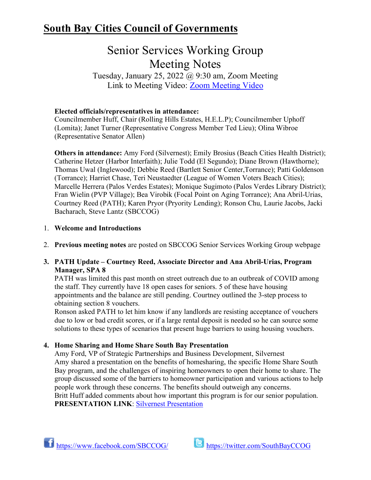## **South Bay Cities Council of Governments**

# Senior Services Working Group Meeting Notes

Tuesday, January 25, 2022  $\omega$  9:30 am, Zoom Meeting Link to Meeting Video: [Zoom Meeting Video](https://www.youtube.com/watch?v=vBSleQBmwFs)

## **Elected officials/representatives in attendance:**

Councilmember Huff, Chair (Rolling Hills Estates, H.E.L.P); Councilmember Uphoff (Lomita); Janet Turner (Representative Congress Member Ted Lieu); Olina Wibroe (Representative Senator Allen)

**Others in attendance:** Amy Ford (Silvernest); Emily Brosius (Beach Cities Health District); Catherine Hetzer (Harbor Interfaith); Julie Todd (El Segundo); Diane Brown (Hawthorne); Thomas Uwal (Inglewood); Debbie Reed (Bartlett Senior Center,Torrance); Patti Goldenson (Torrance); Harriet Chase, Teri Neustaedter (League of Women Voters Beach Cities); Marcelle Herrera (Palos Verdes Estates); Monique Sugimoto (Palos Verdes Library District); Fran Wielin (PVP Village); Bea Virobik (Focal Point on Aging Torrance); Ana Abril-Urias, Courtney Reed (PATH); Karen Pryor (Pryority Lending); Ronson Chu, Laurie Jacobs, Jacki Bacharach, Steve Lantz (SBCCOG)

## 1. **Welcome and Introductions**

2. **Previous meeting notes** are posted on SBCCOG Senior Services Working Group webpage

## **3. PATH Update – Courtney Reed, Associate Director and Ana Abril-Urias, Program Manager, SPA 8**

PATH was limited this past month on street outreach due to an outbreak of COVID among the staff. They currently have 18 open cases for seniors. 5 of these have housing appointments and the balance are still pending. Courtney outlined the 3-step process to obtaining section 8 vouchers.

Ronson asked PATH to let him know if any landlords are resisting acceptance of vouchers due to low or bad credit scores, or if a large rental deposit is needed so he can source some solutions to these types of scenarios that present huge barriers to using housing vouchers.

## **4. Home Sharing and Home Share South Bay Presentation**

Amy Ford, VP of Strategic Partnerships and Business Development, Silvernest Amy shared a presentation on the benefits of homesharing, the specific Home Share South Bay program, and the challenges of inspiring homeowners to open their home to share. The group discussed some of the barriers to homeowner participation and various actions to help people work through these concerns. The benefits should outweigh any concerns. Britt Huff added comments about how important this program is for our senior population. **PRESENTATION LINK**: [Silvernest Presentation](https://southbaycities.org/wp-content/uploads/2022/01/South-Bay-COG-presentation-Benefits-of-Home-Sharing-by-Silvernest.pdf)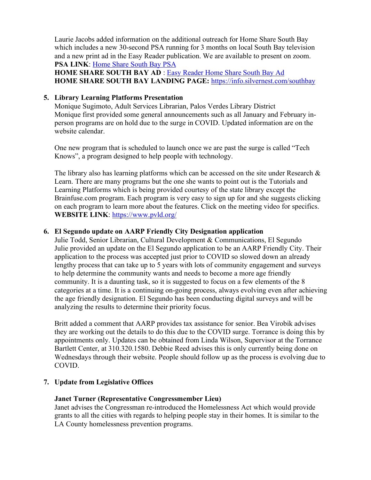Laurie Jacobs added information on the additional outreach for Home Share South Bay which includes a new 30-second PSA running for 3 months on local South Bay television and a new print ad in the Easy Reader publication. We are available to present on zoom. **PSA LINK**: [Home Share South Bay PSA](https://www.youtube.com/watch?v=ovhtpalkzYc)

**HOME SHARE SOUTH BAY AD** : [Easy Reader Home Share South Bay Ad](https://southbaycities.org/wp-content/uploads/2022/01/Easy-Reader-ad-for-Home-Share-South-Bay-FINAL.pdf) **HOME SHARE SOUTH BAY LANDING PAGE:** <https://info.silvernest.com/southbay>

#### **5. Library Learning Platforms Presentation**

Monique Sugimoto, Adult Services Librarian, Palos Verdes Library District Monique first provided some general announcements such as all January and February inperson programs are on hold due to the surge in COVID. Updated information are on the website calendar.

One new program that is scheduled to launch once we are past the surge is called "Tech Knows", a program designed to help people with technology.

The library also has learning platforms which can be accessed on the site under Research  $\&$ Learn. There are many programs but the one she wants to point out is the Tutorials and Learning Platforms which is being provided courtesy of the state library except the Brainfuse.com program. Each program is very easy to sign up for and she suggests clicking on each program to learn more about the features. Click on the meeting video for specifics. **WEBSITE LINK**:<https://www.pvld.org/>

#### **6. El Segundo update on AARP Friendly City Designation application**

Julie Todd, Senior Librarian, Cultural Development & Communications, El Segundo Julie provided an update on the El Segundo application to be an AARP Friendly City. Their application to the process was accepted just prior to COVID so slowed down an already lengthy process that can take up to 5 years with lots of community engagement and surveys to help determine the community wants and needs to become a more age friendly community. It is a daunting task, so it is suggested to focus on a few elements of the 8 categories at a time. It is a continuing on-going process, always evolving even after achieving the age friendly designation. El Segundo has been conducting digital surveys and will be analyzing the results to determine their priority focus.

Britt added a comment that AARP provides tax assistance for senior. Bea Virobik advises they are working out the details to do this due to the COVID surge. Torrance is doing this by appointments only. Updates can be obtained from Linda Wilson, Supervisor at the Torrance Bartlett Center, at 310.320.1580. Debbie Reed advises this is only currently being done on Wednesdays through their website. People should follow up as the process is evolving due to COVID.

#### **7. Update from Legislative Offices**

#### **Janet Turner (Representative Congressmember Lieu)**

Janet advises the Congressman re-introduced the Homelessness Act which would provide grants to all the cities with regards to helping people stay in their homes. It is similar to the LA County homelessness prevention programs.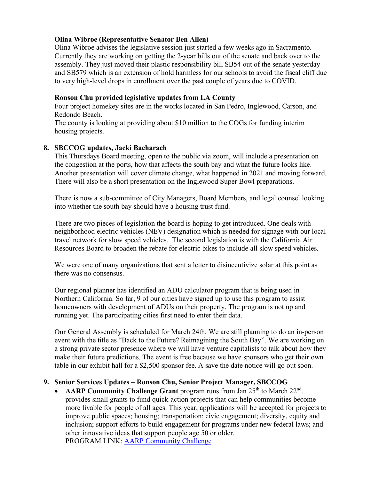## **Olina Wibroe (Representative Senator Ben Allen)**

Olina Wibroe advises the legislative session just started a few weeks ago in Sacramento. Currently they are working on getting the 2-year bills out of the senate and back over to the assembly. They just moved their plastic responsibility bill SB54 out of the senate yesterday and SB579 which is an extension of hold harmless for our schools to avoid the fiscal cliff due to very high-level drops in enrollment over the past couple of years due to COVID.

## **Ronson Chu provided legislative updates from LA County**

Four project homekey sites are in the works located in San Pedro, Inglewood, Carson, and Redondo Beach.

The county is looking at providing about \$10 million to the COGs for funding interim housing projects.

## **8. SBCCOG updates, Jacki Bacharach**

This Thursdays Board meeting, open to the public via zoom, will include a presentation on the congestion at the ports, how that affects the south bay and what the future looks like. Another presentation will cover climate change, what happened in 2021 and moving forward. There will also be a short presentation on the Inglewood Super Bowl preparations.

There is now a sub-committee of City Managers, Board Members, and legal counsel looking into whether the south bay should have a housing trust fund.

There are two pieces of legislation the board is hoping to get introduced. One deals with neighborhood electric vehicles (NEV) designation which is needed for signage with our local travel network for slow speed vehicles. The second legislation is with the California Air Resources Board to broaden the rebate for electric bikes to include all slow speed vehicles.

We were one of many organizations that sent a letter to disincentivize solar at this point as there was no consensus.

Our regional planner has identified an ADU calculator program that is being used in Northern California. So far, 9 of our cities have signed up to use this program to assist homeowners with development of ADUs on their property. The program is not up and running yet. The participating cities first need to enter their data.

Our General Assembly is scheduled for March 24th. We are still planning to do an in-person event with the title as "Back to the Future? Reimagining the South Bay". We are working on a strong private sector presence where we will have venture capitalists to talk about how they make their future predictions. The event is free because we have sponsors who get their own table in our exhibit hall for a \$2,500 sponsor fee. A save the date notice will go out soon.

## **9. Senior Services Updates – Ronson Chu, Senior Project Manager, SBCCOG**

AARP Community Challenge Grant program runs from Jan 25<sup>th</sup> to March 22<sup>nd</sup>. provides small grants to fund quick-action projects that can help communities become more livable for people of all ages. This year, applications will be accepted for projects to improve public spaces; housing; transportation; civic engagement; diversity, equity and inclusion; support efforts to build engagement for programs under new federal laws; and other innovative ideas that support people age 50 or older. PROGRAM LINK: [AARP Community Challenge](https://www.aarp.org/livable-communities/community-challenge/info-2022/2022-challenge.html)